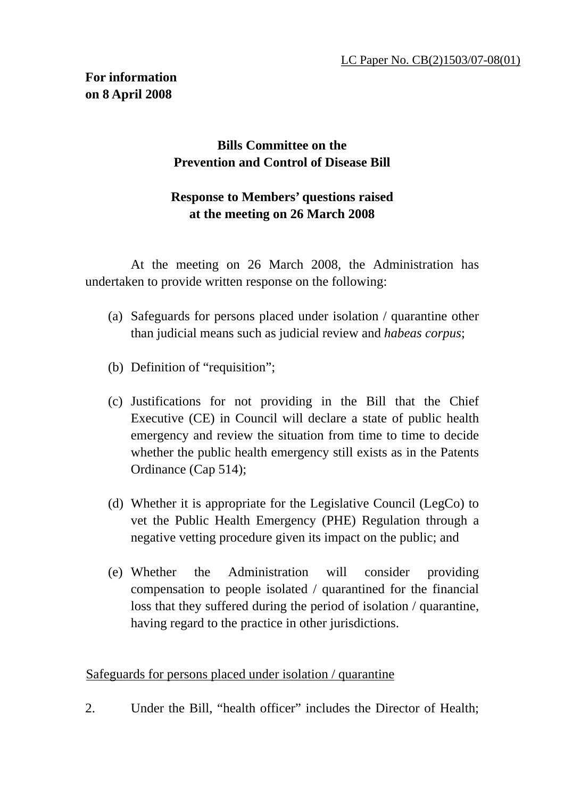## **Bills Committee on the Prevention and Control of Disease Bill**

## **Response to Members' questions raised at the meeting on 26 March 2008**

 At the meeting on 26 March 2008, the Administration has undertaken to provide written response on the following:

- (a) Safeguards for persons placed under isolation / quarantine other than judicial means such as judicial review and *habeas corpus*;
- (b) Definition of "requisition";
- (c) Justifications for not providing in the Bill that the Chief Executive (CE) in Council will declare a state of public health emergency and review the situation from time to time to decide whether the public health emergency still exists as in the Patents Ordinance (Cap 514);
- (d) Whether it is appropriate for the Legislative Council (LegCo) to vet the Public Health Emergency (PHE) Regulation through a negative vetting procedure given its impact on the public; and
- (e) Whether the Administration will consider providing compensation to people isolated / quarantined for the financial loss that they suffered during the period of isolation / quarantine, having regard to the practice in other jurisdictions.

## Safeguards for persons placed under isolation / quarantine

2. Under the Bill, "health officer" includes the Director of Health;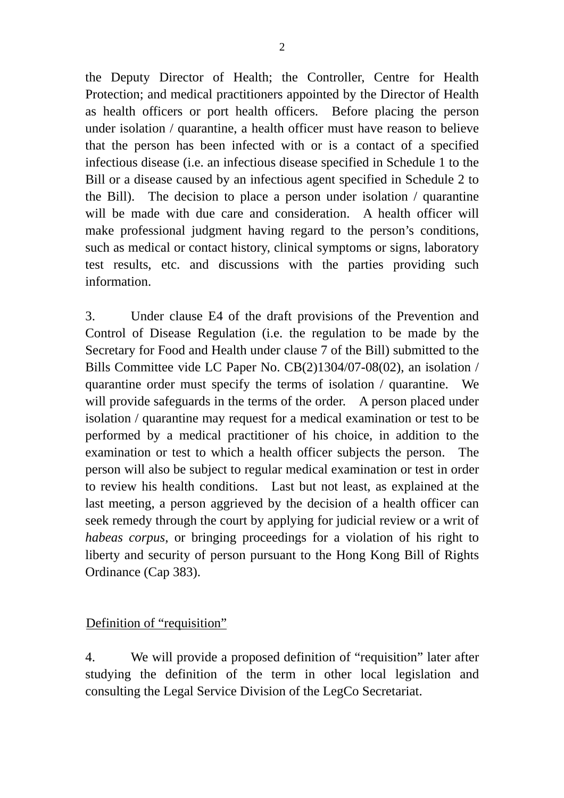the Deputy Director of Health; the Controller, Centre for Health Protection; and medical practitioners appointed by the Director of Health as health officers or port health officers. Before placing the person under isolation / quarantine, a health officer must have reason to believe that the person has been infected with or is a contact of a specified infectious disease (i.e. an infectious disease specified in Schedule 1 to the Bill or a disease caused by an infectious agent specified in Schedule 2 to the Bill). The decision to place a person under isolation / quarantine will be made with due care and consideration. A health officer will make professional judgment having regard to the person's conditions, such as medical or contact history, clinical symptoms or signs, laboratory test results, etc. and discussions with the parties providing such information.

3. Under clause E4 of the draft provisions of the Prevention and Control of Disease Regulation (i.e. the regulation to be made by the Secretary for Food and Health under clause 7 of the Bill) submitted to the Bills Committee vide LC Paper No. CB(2)1304/07-08(02), an isolation / quarantine order must specify the terms of isolation / quarantine. We will provide safeguards in the terms of the order. A person placed under isolation / quarantine may request for a medical examination or test to be performed by a medical practitioner of his choice, in addition to the examination or test to which a health officer subjects the person. The person will also be subject to regular medical examination or test in order to review his health conditions. Last but not least, as explained at the last meeting, a person aggrieved by the decision of a health officer can seek remedy through the court by applying for judicial review or a writ of *habeas corpus*, or bringing proceedings for a violation of his right to liberty and security of person pursuant to the Hong Kong Bill of Rights Ordinance (Cap 383).

## Definition of "requisition"

4. We will provide a proposed definition of "requisition" later after studying the definition of the term in other local legislation and consulting the Legal Service Division of the LegCo Secretariat.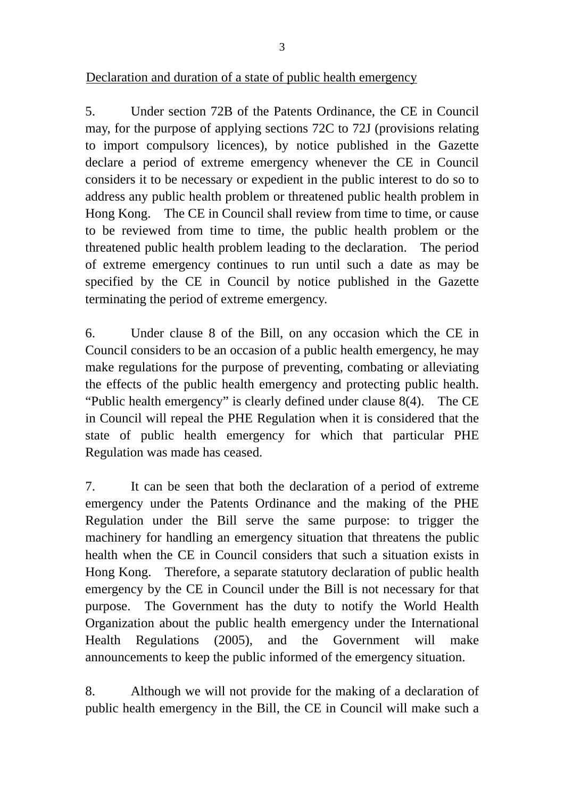5. Under section 72B of the Patents Ordinance, the CE in Council may, for the purpose of applying sections 72C to 72J (provisions relating to import compulsory licences), by notice published in the Gazette declare a period of extreme emergency whenever the CE in Council considers it to be necessary or expedient in the public interest to do so to address any public health problem or threatened public health problem in Hong Kong. The CE in Council shall review from time to time, or cause to be reviewed from time to time, the public health problem or the threatened public health problem leading to the declaration. The period of extreme emergency continues to run until such a date as may be specified by the CE in Council by notice published in the Gazette terminating the period of extreme emergency.

6. Under clause 8 of the Bill, on any occasion which the CE in Council considers to be an occasion of a public health emergency, he may make regulations for the purpose of preventing, combating or alleviating the effects of the public health emergency and protecting public health. "Public health emergency" is clearly defined under clause 8(4). The CE in Council will repeal the PHE Regulation when it is considered that the state of public health emergency for which that particular PHE Regulation was made has ceased.

7. It can be seen that both the declaration of a period of extreme emergency under the Patents Ordinance and the making of the PHE Regulation under the Bill serve the same purpose: to trigger the machinery for handling an emergency situation that threatens the public health when the CE in Council considers that such a situation exists in Hong Kong. Therefore, a separate statutory declaration of public health emergency by the CE in Council under the Bill is not necessary for that purpose. The Government has the duty to notify the World Health Organization about the public health emergency under the International Health Regulations (2005), and the Government will make announcements to keep the public informed of the emergency situation.

8. Although we will not provide for the making of a declaration of public health emergency in the Bill, the CE in Council will make such a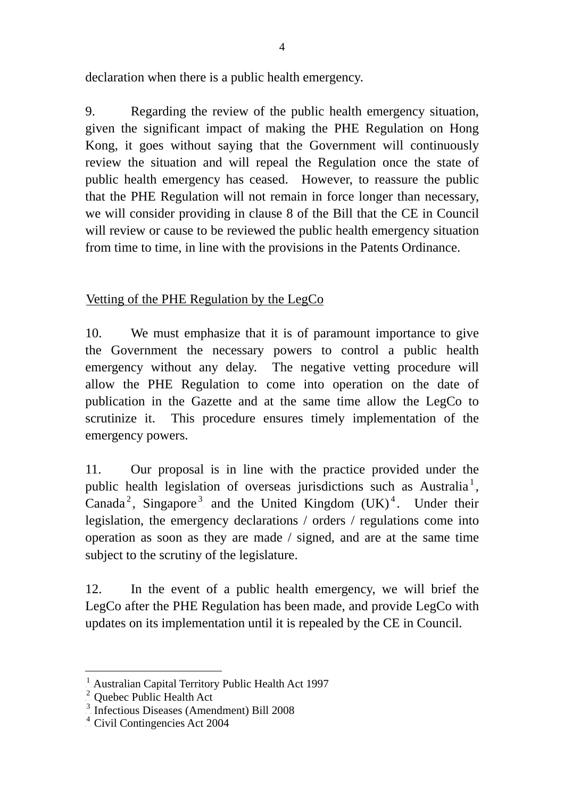declaration when there is a public health emergency.

9. Regarding the review of the public health emergency situation, given the significant impact of making the PHE Regulation on Hong Kong, it goes without saying that the Government will continuously review the situation and will repeal the Regulation once the state of public health emergency has ceased. However, to reassure the public that the PHE Regulation will not remain in force longer than necessary, we will consider providing in clause 8 of the Bill that the CE in Council will review or cause to be reviewed the public health emergency situation from time to time, in line with the provisions in the Patents Ordinance.

Vetting of the PHE Regulation by the  $LegCo$ 

10. We must emphasize that it is of paramount importance to give the Government the necessary powers to control a public health emergency without any delay. The negative vetting procedure will allow the PHE Regulation to come into operation on the date of publication in the Gazette and at the same time allow the LegCo to scrutinize it. This procedure ensures timely implementation of the emergency powers.

11. Our proposal is in line with the practice provided under the public health legislation of overseas jurisdictions such as Australia<sup>1</sup>[,](#page-3-0) Canada<sup>[2](#page-3-1)</sup>, Singapore<sup>[3](#page-3-2)</sup> and the United Kingdom  $(UK)^4$  $(UK)^4$ . Under their legislation, the emergency declarations / orders / regulations come into operation as soon as they are made / signed, and are at the same time subject to the scrutiny of the legislature.

12. In the event of a public health emergency, we will brief the LegCo after the PHE Regulation has been made, and provide LegCo with updates on its implementation until it is repealed by the CE in Council.

l

<span id="page-3-0"></span> $\frac{1}{2}$  Australian Capital Territory Public Health Act 1997

<span id="page-3-1"></span> $2$  Quebec Public Health Act

<span id="page-3-2"></span> $3$  Infectious Diseases (Amendment) Bill 2008

<span id="page-3-3"></span> $4$  Civil Contingencies Act 2004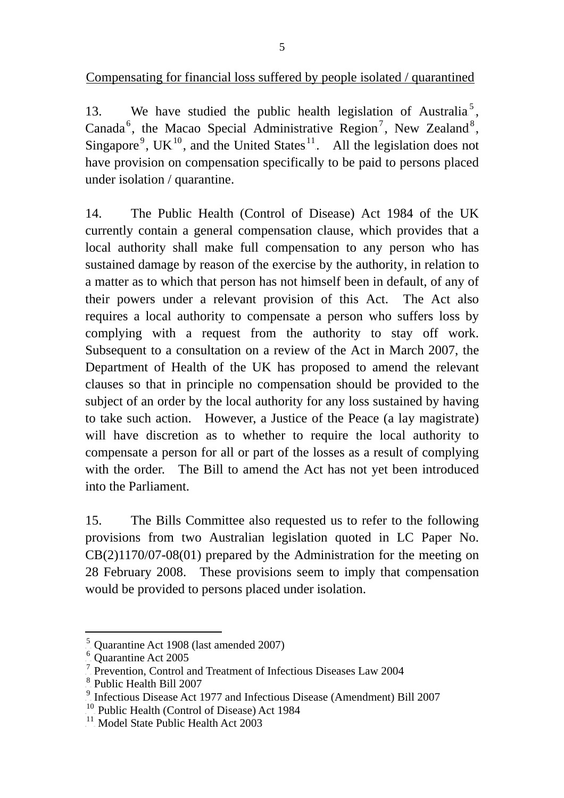UCompensating for financial loss suffered by people isolated / quarantined

13. We have studied the public health legislation of Australia<sup>5</sup>[,](#page-4-0) Canada<sup>[6](#page-4-1)</sup>, the Macao Special Administrative Region<sup>[7](#page-4-2)</sup>, New Zealand<sup>[8](#page-4-3)</sup>, Singapore<sup>[9](#page-4-4)</sup>, UK<sup>[10](#page-4-5)</sup>, and the United States<sup>[11](#page-4-6)</sup>. All the legislation does not have provision on compensation specifically to be paid to persons placed under isolation / quarantine.

14. The Public Health (Control of Disease) Act 1984 of the UK currently contain a general compensation clause, which provides that a local authority shall make full compensation to any person who has sustained damage by reason of the exercise by the authority, in relation to a matter as to which that person has not himself been in default, of any of their powers under a relevant provision of this Act. The Act also requires a local authority to compensate a person who suffers loss by complying with a request from the authority to stay off work. Subsequent to a consultation on a review of the Act in March 2007, the Department of Health of the UK has proposed to amend the relevant clauses so that in principle no compensation should be provided to the subject of an order by the local authority for any loss sustained by having to take such action. However, a Justice of the Peace (a lay magistrate) will have discretion as to whether to require the local authority to compensate a person for all or part of the losses as a result of complying with the order. The Bill to amend the Act has not yet been introduced into the Parliament.

15. The Bills Committee also requested us to refer to the following provisions from two Australian legislation quoted in LC Paper No. CB(2)1170/07-08(01) prepared by the Administration for the meeting on 28 February 2008. These provisions seem to imply that compensation would be provided to persons placed under isolation.

 $\overline{a}$ 

<span id="page-4-0"></span> $\frac{5}{2}$  Quarantine Act 1908 (last amended 2007)

<span id="page-4-1"></span> $<sup>6</sup>$  Quarantine Act 2005</sup>

<span id="page-4-2"></span> $7$  Prevention, Control and Treatment of Infectious Diseases Law 2004

<span id="page-4-3"></span> $<sup>8</sup>$  Public Health Bill 2007</sup>

<span id="page-4-4"></span> $<sup>9</sup>$ . Infectious Disease Act 1977 and Infectious Disease (Amendment) Bill 2007</sup>

<span id="page-4-5"></span><sup>&</sup>lt;sup>10</sup> Public Health (Control of Disease) Act 1984

<span id="page-4-6"></span> $11$  Model State Public Health Act 2003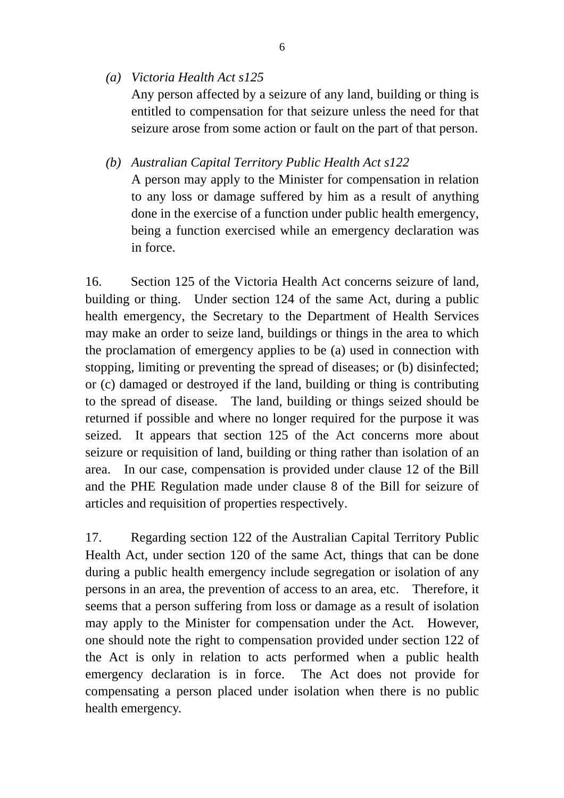- *(a) Victoria Health Act s125*  Any person affected by a seizure of any land, building or thing is entitled to compensation for that seizure unless the need for that seizure arose from some action or fault on the part of that person.
- *(b) Australian Capital Territory Public Health Act s122*  A person may apply to the Minister for compensation in relation to any loss or damage suffered by him as a result of anything done in the exercise of a function under public health emergency, being a function exercised while an emergency declaration was in force.

16. Section 125 of the Victoria Health Act concerns seizure of land, building or thing. Under section 124 of the same Act, during a public health emergency, the Secretary to the Department of Health Services may make an order to seize land, buildings or things in the area to which the proclamation of emergency applies to be (a) used in connection with stopping, limiting or preventing the spread of diseases; or (b) disinfected; or (c) damaged or destroyed if the land, building or thing is contributing to the spread of disease. The land, building or things seized should be returned if possible and where no longer required for the purpose it was seized. It appears that section 125 of the Act concerns more about seizure or requisition of land, building or thing rather than isolation of an area. In our case, compensation is provided under clause 12 of the Bill and the PHE Regulation made under clause 8 of the Bill for seizure of articles and requisition of properties respectively.

17. Regarding section 122 of the Australian Capital Territory Public Health Act, under section 120 of the same Act, things that can be done during a public health emergency include segregation or isolation of any persons in an area, the prevention of access to an area, etc. Therefore, it seems that a person suffering from loss or damage as a result of isolation may apply to the Minister for compensation under the Act. However, one should note the right to compensation provided under section 122 of the Act is only in relation to acts performed when a public health emergency declaration is in force. The Act does not provide for compensating a person placed under isolation when there is no public health emergency.